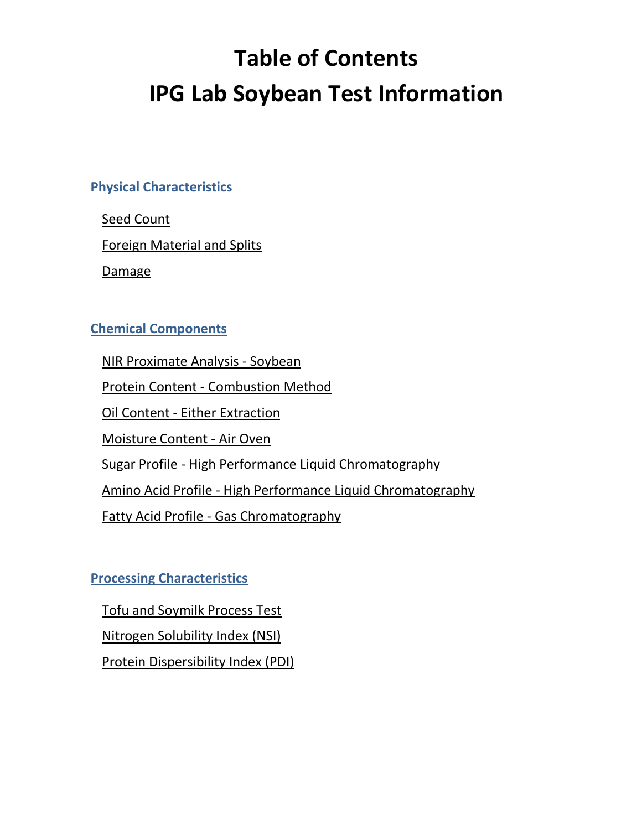# **Table of Contents IPG Lab Soybean Test Information**

**[Physical Characteristics](#page-1-0)**

[Seed Count](#page-1-1)

[Foreign Material and Splits](#page-1-2)

[Damage](#page-1-3)

## **[Chemical Components](#page-1-4)**

[NIR Proximate Analysis -](#page-1-5) Soybean

Protein Content - [Combustion Method](#page-2-0)

Oil Content - [Either Extraction](#page-2-1)

[Moisture Content -](#page-2-2) Air Oven

Sugar Profile - [High Performance Liquid Chromatography](#page-3-0)

Amino Acid Profile - [High Performance Liquid Chromatography](#page-3-1)

Fatty Acid Profile - [Gas Chromatography](#page-3-2)

**[Processing Characteristics](#page-3-3)**

[Tofu and Soymilk Process Test](#page-3-4)

[Nitrogen Solubility Index \(NSI\)](#page-4-0)

[Protein Dispersibility Index \(PDI\)](#page-4-1)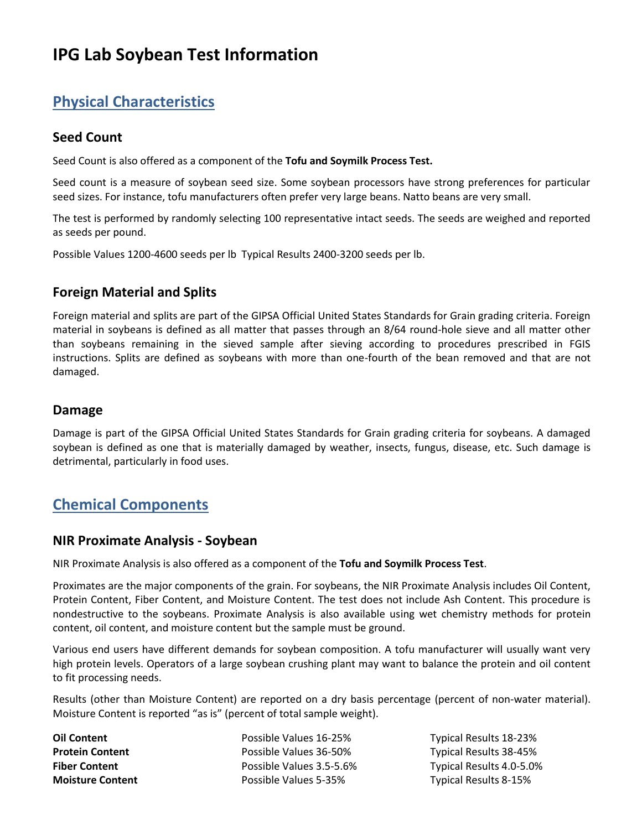## **IPG Lab Soybean Test Information**

## <span id="page-1-0"></span>**Physical Characteristics**

#### <span id="page-1-1"></span>**Seed Count**

Seed Count is also offered as a component of the **Tofu and Soymilk Process Test.**

Seed count is a measure of soybean seed size. Some soybean processors have strong preferences for particular seed sizes. For instance, tofu manufacturers often prefer very large beans. Natto beans are very small.

The test is performed by randomly selecting 100 representative intact seeds. The seeds are weighed and reported as seeds per pound.

Possible Values 1200-4600 seeds per lb Typical Results 2400-3200 seeds per lb.

#### <span id="page-1-2"></span>**Foreign Material and Splits**

Foreign material and splits are part of the GIPSA Official United States Standards for Grain grading criteria. Foreign material in soybeans is defined as all matter that passes through an 8/64 round-hole sieve and all matter other than soybeans remaining in the sieved sample after sieving according to procedures prescribed in FGIS instructions. Splits are defined as soybeans with more than one-fourth of the bean removed and that are not damaged.

#### <span id="page-1-3"></span>**Damage**

Damage is part of the GIPSA Official United States Standards for Grain grading criteria for soybeans. A damaged soybean is defined as one that is materially damaged by weather, insects, fungus, disease, etc. Such damage is detrimental, particularly in food uses.

## <span id="page-1-4"></span>**Chemical Components**

#### <span id="page-1-5"></span>**NIR Proximate Analysis - Soybean**

NIR Proximate Analysis is also offered as a component of the **Tofu and Soymilk Process Test**.

Proximates are the major components of the grain. For soybeans, the NIR Proximate Analysis includes Oil Content, Protein Content, Fiber Content, and Moisture Content. The test does not include Ash Content. This procedure is nondestructive to the soybeans. Proximate Analysis is also available using wet chemistry methods for protein content, oil content, and moisture content but the sample must be ground.

Various end users have different demands for soybean composition. A tofu manufacturer will usually want very high protein levels. Operators of a large soybean crushing plant may want to balance the protein and oil content to fit processing needs.

Results (other than Moisture Content) are reported on a dry basis percentage (percent of non-water material). Moisture Content is reported "as is" (percent of total sample weight).

**Oil Content** Possible Values 16-25% Typical Results 18-23% **Protein Content Possible Values 36-50%** Typical Results 38-45% **Fiber Content** Possible Values 3.5-5.6% Typical Results 4.0-5.0% **Moisture Content** Possible Values 5-35% Typical Results 8-15%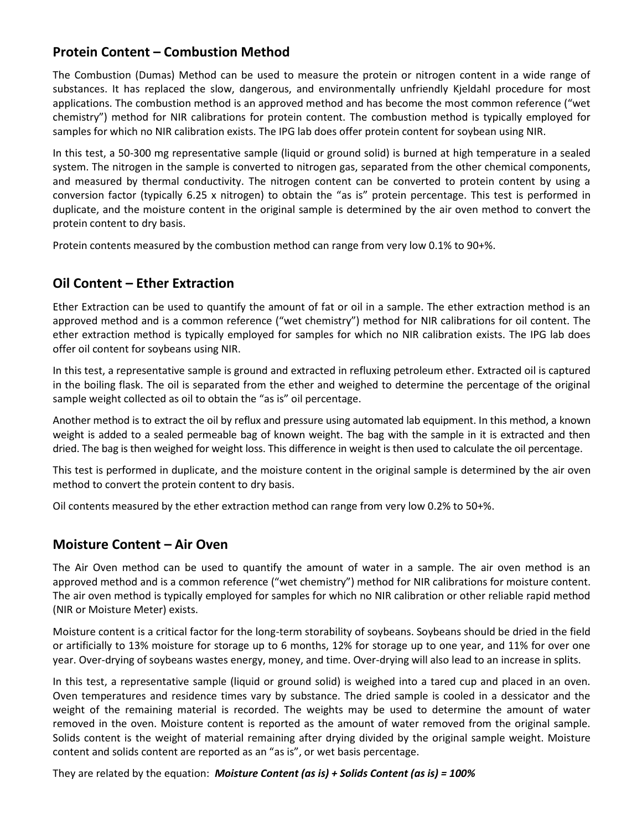#### <span id="page-2-0"></span>**Protein Content – Combustion Method**

The Combustion (Dumas) Method can be used to measure the protein or nitrogen content in a wide range of substances. It has replaced the slow, dangerous, and environmentally unfriendly Kjeldahl procedure for most applications. The combustion method is an approved method and has become the most common reference ("wet chemistry") method for NIR calibrations for protein content. The combustion method is typically employed for samples for which no NIR calibration exists. The IPG lab does offer protein content for soybean using NIR.

In this test, a 50-300 mg representative sample (liquid or ground solid) is burned at high temperature in a sealed system. The nitrogen in the sample is converted to nitrogen gas, separated from the other chemical components, and measured by thermal conductivity. The nitrogen content can be converted to protein content by using a conversion factor (typically 6.25 x nitrogen) to obtain the "as is" protein percentage. This test is performed in duplicate, and the moisture content in the original sample is determined by the air oven method to convert the protein content to dry basis.

Protein contents measured by the combustion method can range from very low 0.1% to 90+%.

#### <span id="page-2-1"></span>**Oil Content – Ether Extraction**

Ether Extraction can be used to quantify the amount of fat or oil in a sample. The ether extraction method is an approved method and is a common reference ("wet chemistry") method for NIR calibrations for oil content. The ether extraction method is typically employed for samples for which no NIR calibration exists. The IPG lab does offer oil content for soybeans using NIR.

In this test, a representative sample is ground and extracted in refluxing petroleum ether. Extracted oil is captured in the boiling flask. The oil is separated from the ether and weighed to determine the percentage of the original sample weight collected as oil to obtain the "as is" oil percentage.

Another method is to extract the oil by reflux and pressure using automated lab equipment. In this method, a known weight is added to a sealed permeable bag of known weight. The bag with the sample in it is extracted and then dried. The bag is then weighed for weight loss. This difference in weight is then used to calculate the oil percentage.

This test is performed in duplicate, and the moisture content in the original sample is determined by the air oven method to convert the protein content to dry basis.

Oil contents measured by the ether extraction method can range from very low 0.2% to 50+%.

#### <span id="page-2-2"></span>**Moisture Content – Air Oven**

The Air Oven method can be used to quantify the amount of water in a sample. The air oven method is an approved method and is a common reference ("wet chemistry") method for NIR calibrations for moisture content. The air oven method is typically employed for samples for which no NIR calibration or other reliable rapid method (NIR or Moisture Meter) exists.

Moisture content is a critical factor for the long-term storability of soybeans. Soybeans should be dried in the field or artificially to 13% moisture for storage up to 6 months, 12% for storage up to one year, and 11% for over one year. Over-drying of soybeans wastes energy, money, and time. Over-drying will also lead to an increase in splits.

In this test, a representative sample (liquid or ground solid) is weighed into a tared cup and placed in an oven. Oven temperatures and residence times vary by substance. The dried sample is cooled in a dessicator and the weight of the remaining material is recorded. The weights may be used to determine the amount of water removed in the oven. Moisture content is reported as the amount of water removed from the original sample. Solids content is the weight of material remaining after drying divided by the original sample weight. Moisture content and solids content are reported as an "as is", or wet basis percentage.

They are related by the equation: *Moisture Content (as is) + Solids Content (as is) = 100%*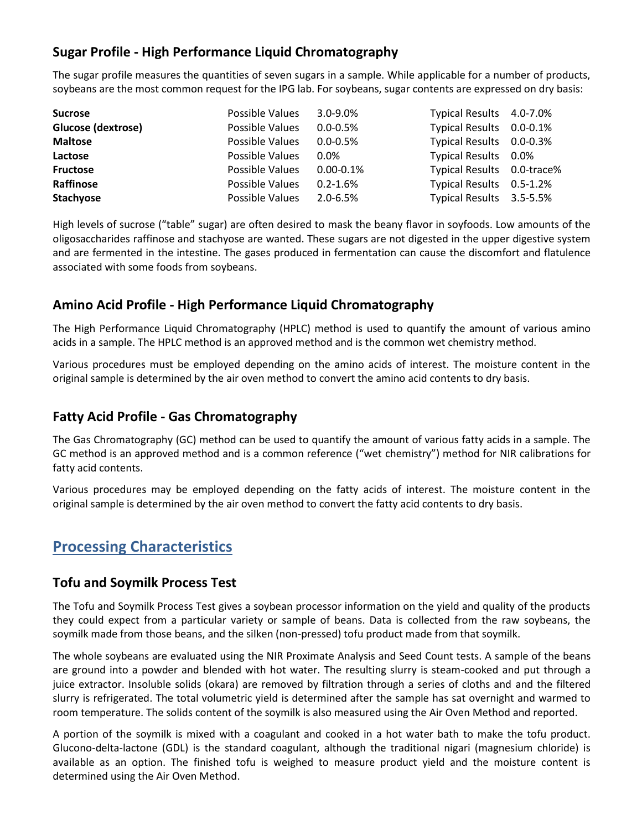### <span id="page-3-0"></span>**Sugar Profile - High Performance Liquid Chromatography**

The sugar profile measures the quantities of seven sugars in a sample. While applicable for a number of products, soybeans are the most common request for the IPG lab. For soybeans, sugar contents are expressed on dry basis:

| <b>Sucrose</b>     | Possible Values | $3.0 - 9.0\%$  | Typical Results 4.0-7.0%   |  |
|--------------------|-----------------|----------------|----------------------------|--|
| Glucose (dextrose) | Possible Values | $0.0 - 0.5%$   | Typical Results 0.0-0.1%   |  |
| <b>Maltose</b>     | Possible Values | $0.0 - 0.5\%$  | Typical Results 0.0-0.3%   |  |
| Lactose            | Possible Values | $0.0\%$        | Typical Results 0.0%       |  |
| <b>Fructose</b>    | Possible Values | $0.00 - 0.1\%$ | Typical Results 0.0-trace% |  |
| Raffinose          | Possible Values | $0.2 - 1.6%$   | Typical Results 0.5-1.2%   |  |
| <b>Stachyose</b>   | Possible Values | $2.0 - 6.5%$   | Typical Results 3.5-5.5%   |  |

High levels of sucrose ("table" sugar) are often desired to mask the beany flavor in soyfoods. Low amounts of the oligosaccharides raffinose and stachyose are wanted. These sugars are not digested in the upper digestive system and are fermented in the intestine. The gases produced in fermentation can cause the discomfort and flatulence associated with some foods from soybeans.

#### <span id="page-3-1"></span>**Amino Acid Profile - High Performance Liquid Chromatography**

The High Performance Liquid Chromatography (HPLC) method is used to quantify the amount of various amino acids in a sample. The HPLC method is an approved method and is the common wet chemistry method.

Various procedures must be employed depending on the amino acids of interest. The moisture content in the original sample is determined by the air oven method to convert the amino acid contents to dry basis.

#### <span id="page-3-2"></span>**Fatty Acid Profile - Gas Chromatography**

The Gas Chromatography (GC) method can be used to quantify the amount of various fatty acids in a sample. The GC method is an approved method and is a common reference ("wet chemistry") method for NIR calibrations for fatty acid contents.

Various procedures may be employed depending on the fatty acids of interest. The moisture content in the original sample is determined by the air oven method to convert the fatty acid contents to dry basis.

## <span id="page-3-3"></span>**Processing Characteristics**

#### <span id="page-3-4"></span>**Tofu and Soymilk Process Test**

The Tofu and Soymilk Process Test gives a soybean processor information on the yield and quality of the products they could expect from a particular variety or sample of beans. Data is collected from the raw soybeans, the soymilk made from those beans, and the silken (non-pressed) tofu product made from that soymilk.

The whole soybeans are evaluated using the NIR Proximate Analysis and Seed Count tests. A sample of the beans are ground into a powder and blended with hot water. The resulting slurry is steam-cooked and put through a juice extractor. Insoluble solids (okara) are removed by filtration through a series of cloths and and the filtered slurry is refrigerated. The total volumetric yield is determined after the sample has sat overnight and warmed to room temperature. The solids content of the soymilk is also measured using the Air Oven Method and reported.

A portion of the soymilk is mixed with a coagulant and cooked in a hot water bath to make the tofu product. Glucono-delta-lactone (GDL) is the standard coagulant, although the traditional nigari (magnesium chloride) is available as an option. The finished tofu is weighed to measure product yield and the moisture content is determined using the Air Oven Method.